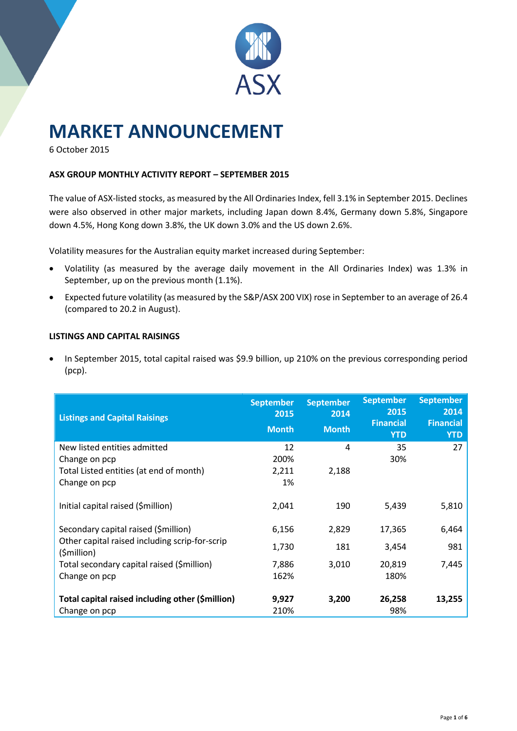

# **MARKET ANNOUNCEMENT**

6 October 2015

## **ASX GROUP MONTHLY ACTIVITY REPORT – SEPTEMBER 2015**

The value of ASX-listed stocks, as measured by the All Ordinaries Index, fell 3.1% in September 2015. Declines were also observed in other major markets, including Japan down 8.4%, Germany down 5.8%, Singapore down 4.5%, Hong Kong down 3.8%, the UK down 3.0% and the US down 2.6%.

Volatility measures for the Australian equity market increased during September:

- Volatility (as measured by the average daily movement in the All Ordinaries Index) was 1.3% in September, up on the previous month (1.1%).
- Expected future volatility (as measured by the S&P/ASX 200 VIX) rose in September to an average of 26.4 (compared to 20.2 in August).

#### **LISTINGS AND CAPITAL RAISINGS**

• In September 2015, total capital raised was \$9.9 billion, up 210% on the previous corresponding period (pcp).

| <b>Listings and Capital Raisings</b>                                                                      | <b>September</b><br>2015<br><b>Month</b> | <b>September</b><br>2014<br><b>Month</b> | <b>September</b><br>2015<br><b>Financial</b><br><b>YTD</b> | <b>September</b><br>2014<br><b>Financial</b><br><b>YTD</b> |
|-----------------------------------------------------------------------------------------------------------|------------------------------------------|------------------------------------------|------------------------------------------------------------|------------------------------------------------------------|
| New listed entities admitted<br>Change on pcp<br>Total Listed entities (at end of month)<br>Change on pcp | 12<br>200%<br>2,211<br>1%                | 4<br>2,188                               | 35<br>30%                                                  | 27                                                         |
| Initial capital raised (\$million)                                                                        | 2,041                                    | 190                                      | 5,439                                                      | 5,810                                                      |
| Secondary capital raised (\$million)<br>Other capital raised including scrip-for-scrip                    | 6,156                                    | 2,829                                    | 17,365                                                     | 6,464                                                      |
| (\$million)                                                                                               | 1,730                                    | 181                                      | 3,454                                                      | 981                                                        |
| Total secondary capital raised (\$million)<br>Change on pcp                                               | 7,886<br>162%                            | 3,010                                    | 20,819<br>180%                                             | 7,445                                                      |
| Total capital raised including other (\$million)<br>Change on pcp                                         | 9,927<br>210%                            | 3,200                                    | 26,258<br>98%                                              | 13,255                                                     |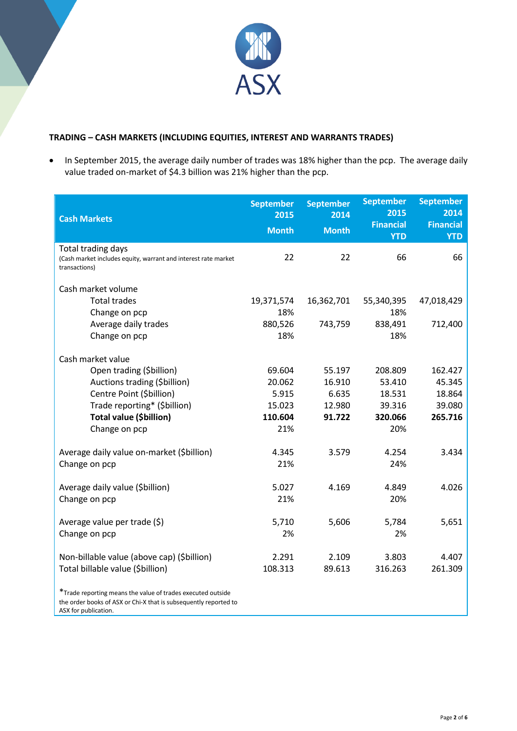

## **TRADING – CASH MARKETS (INCLUDING EQUITIES, INTEREST AND WARRANTS TRADES)**

• In September 2015, the average daily number of trades was 18% higher than the pcp. The average daily value traded on-market of \$4.3 billion was 21% higher than the pcp.

| <b>Cash Markets</b>                                                                                                                                     | <b>September</b><br>2015<br><b>Month</b> | <b>September</b><br>2014<br><b>Month</b> | <b>September</b><br>2015<br><b>Financial</b><br><b>YTD</b> | <b>September</b><br>2014<br><b>Financial</b><br><b>YTD</b> |
|---------------------------------------------------------------------------------------------------------------------------------------------------------|------------------------------------------|------------------------------------------|------------------------------------------------------------|------------------------------------------------------------|
| Total trading days<br>(Cash market includes equity, warrant and interest rate market<br>transactions)                                                   | 22                                       | 22                                       | 66                                                         | 66                                                         |
| Cash market volume                                                                                                                                      |                                          |                                          |                                                            |                                                            |
| <b>Total trades</b><br>Change on pcp                                                                                                                    | 19,371,574<br>18%                        | 16,362,701                               | 55,340,395<br>18%                                          | 47,018,429                                                 |
| Average daily trades<br>Change on pcp                                                                                                                   | 880,526<br>18%                           | 743,759                                  | 838,491<br>18%                                             | 712,400                                                    |
| Cash market value                                                                                                                                       |                                          |                                          |                                                            |                                                            |
| Open trading (\$billion)                                                                                                                                | 69.604                                   | 55.197                                   | 208.809                                                    | 162.427                                                    |
| Auctions trading (\$billion)                                                                                                                            | 20.062                                   | 16.910                                   | 53.410                                                     | 45.345                                                     |
| Centre Point (\$billion)                                                                                                                                | 5.915                                    | 6.635                                    | 18.531                                                     | 18.864                                                     |
| Trade reporting* (\$billion)                                                                                                                            | 15.023                                   | 12.980                                   | 39.316                                                     | 39.080                                                     |
| Total value (\$billion)                                                                                                                                 | 110.604                                  | 91.722                                   | 320.066                                                    | 265.716                                                    |
| Change on pcp                                                                                                                                           | 21%                                      |                                          | 20%                                                        |                                                            |
| Average daily value on-market (\$billion)                                                                                                               | 4.345                                    | 3.579                                    | 4.254                                                      | 3.434                                                      |
| Change on pcp                                                                                                                                           | 21%                                      |                                          | 24%                                                        |                                                            |
| Average daily value (\$billion)                                                                                                                         | 5.027                                    | 4.169                                    | 4.849                                                      | 4.026                                                      |
| Change on pcp                                                                                                                                           | 21%                                      |                                          | 20%                                                        |                                                            |
|                                                                                                                                                         |                                          |                                          |                                                            |                                                            |
| Average value per trade (\$)                                                                                                                            | 5,710                                    | 5,606                                    | 5,784                                                      | 5,651                                                      |
| Change on pcp                                                                                                                                           | 2%                                       |                                          | 2%                                                         |                                                            |
| Non-billable value (above cap) (\$billion)                                                                                                              | 2.291                                    | 2.109                                    | 3.803                                                      | 4.407                                                      |
| Total billable value (\$billion)                                                                                                                        | 108.313                                  | 89.613                                   | 316.263                                                    | 261.309                                                    |
| *Trade reporting means the value of trades executed outside<br>the order books of ASX or Chi-X that is subsequently reported to<br>ASX for publication. |                                          |                                          |                                                            |                                                            |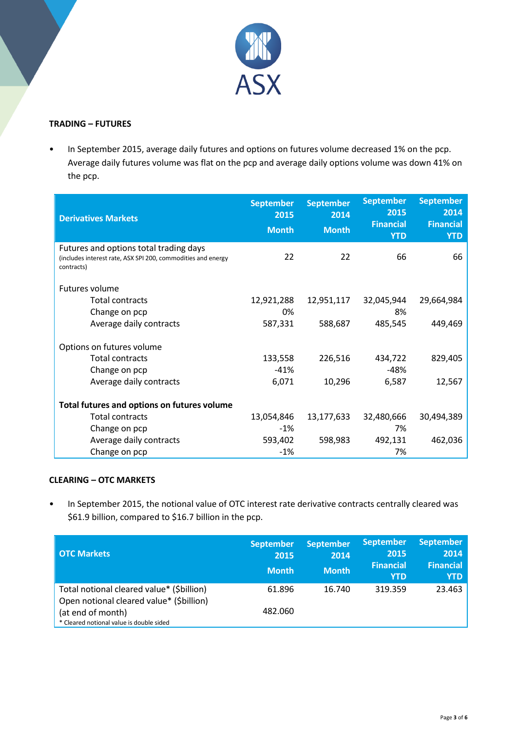

## **TRADING – FUTURES**

• In September 2015, average daily futures and options on futures volume decreased 1% on the pcp. Average daily futures volume was flat on the pcp and average daily options volume was down 41% on the pcp.

| <b>Derivatives Markets</b>                                                                                           | <b>September</b><br>2015<br><b>Month</b> | <b>September</b><br>2014<br><b>Month</b> | <b>September</b><br>2015<br><b>Financial</b><br><b>YTD</b> | <b>September</b><br>2014<br><b>Financial</b><br><b>YTD</b> |
|----------------------------------------------------------------------------------------------------------------------|------------------------------------------|------------------------------------------|------------------------------------------------------------|------------------------------------------------------------|
| Futures and options total trading days<br>(includes interest rate, ASX SPI 200, commodities and energy<br>contracts) | 22                                       | 22                                       | 66                                                         | 66                                                         |
| Futures volume                                                                                                       |                                          |                                          |                                                            |                                                            |
| <b>Total contracts</b>                                                                                               | 12,921,288                               | 12,951,117                               | 32,045,944                                                 | 29,664,984                                                 |
| Change on pcp                                                                                                        | 0%                                       |                                          | 8%                                                         |                                                            |
| Average daily contracts                                                                                              | 587,331                                  | 588,687                                  | 485,545                                                    | 449,469                                                    |
| Options on futures volume                                                                                            |                                          |                                          |                                                            |                                                            |
| <b>Total contracts</b>                                                                                               | 133,558                                  | 226,516                                  | 434,722                                                    | 829,405                                                    |
| Change on pcp                                                                                                        | $-41%$                                   |                                          | $-48%$                                                     |                                                            |
| Average daily contracts                                                                                              | 6,071                                    | 10,296                                   | 6,587                                                      | 12,567                                                     |
| Total futures and options on futures volume                                                                          |                                          |                                          |                                                            |                                                            |
| <b>Total contracts</b>                                                                                               | 13,054,846                               | 13,177,633                               | 32,480,666                                                 | 30,494,389                                                 |
| Change on pcp                                                                                                        | -1%                                      |                                          | 7%                                                         |                                                            |
| Average daily contracts                                                                                              | 593,402                                  | 598,983                                  | 492,131                                                    | 462,036                                                    |
| Change on pcp                                                                                                        | $-1%$                                    |                                          | 7%                                                         |                                                            |

## **CLEARING – OTC MARKETS**

• In September 2015, the notional value of OTC interest rate derivative contracts centrally cleared was \$61.9 billion, compared to \$16.7 billion in the pcp.

| <b>OTC Markets</b>                                                                                                                                     | <b>September</b><br>2015<br><b>Month</b> | <b>September</b><br>2014<br><b>Month</b> | <b>September</b><br>2015<br><b>Financial</b><br><b>YTD</b> | <b>September</b><br>2014<br><b>Financial</b><br><b>YTD</b> |
|--------------------------------------------------------------------------------------------------------------------------------------------------------|------------------------------------------|------------------------------------------|------------------------------------------------------------|------------------------------------------------------------|
| Total notional cleared value* (\$billion)<br>Open notional cleared value* (\$billion)<br>(at end of month)<br>* Cleared notional value is double sided | 61.896<br>482.060                        | 16.740                                   | 319.359                                                    | 23.463                                                     |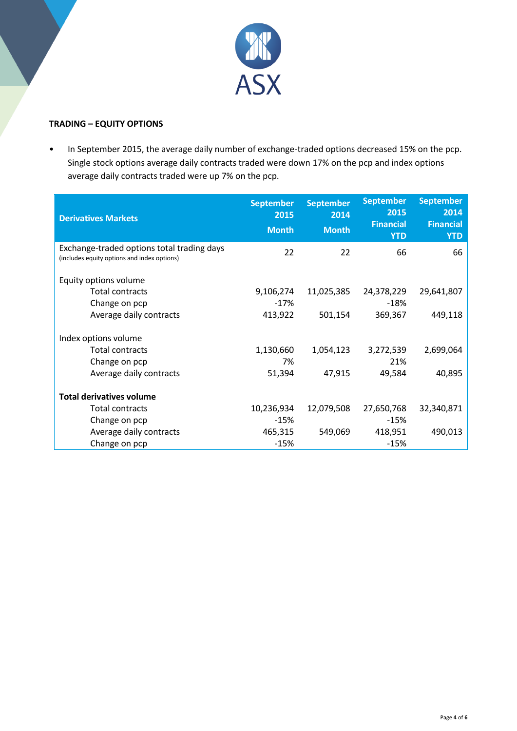

#### **TRADING – EQUITY OPTIONS**

• In September 2015, the average daily number of exchange-traded options decreased 15% on the pcp. Single stock options average daily contracts traded were down 17% on the pcp and index options average daily contracts traded were up 7% on the pcp.

| <b>Derivatives Markets</b>                                                                | <b>September</b><br>2015<br><b>Month</b> | <b>September</b><br>2014<br><b>Month</b> | <b>September</b><br>2015<br><b>Financial</b><br><b>YTD</b> | <b>September</b><br>2014<br><b>Financial</b><br><b>YTD</b> |
|-------------------------------------------------------------------------------------------|------------------------------------------|------------------------------------------|------------------------------------------------------------|------------------------------------------------------------|
| Exchange-traded options total trading days<br>(includes equity options and index options) | 22                                       | 22                                       | 66                                                         | 66                                                         |
| Equity options volume                                                                     |                                          |                                          |                                                            |                                                            |
| <b>Total contracts</b>                                                                    | 9,106,274                                | 11,025,385                               | 24,378,229                                                 | 29,641,807                                                 |
| Change on pcp                                                                             | $-17\%$                                  |                                          | $-18%$                                                     |                                                            |
| Average daily contracts                                                                   | 413,922                                  | 501,154                                  | 369,367                                                    | 449,118                                                    |
| Index options volume                                                                      |                                          |                                          |                                                            |                                                            |
| <b>Total contracts</b>                                                                    | 1,130,660                                | 1,054,123                                | 3,272,539                                                  | 2,699,064                                                  |
| Change on pcp                                                                             | 7%                                       |                                          | 21%                                                        |                                                            |
| Average daily contracts                                                                   | 51,394                                   | 47,915                                   | 49,584                                                     | 40,895                                                     |
| <b>Total derivatives volume</b>                                                           |                                          |                                          |                                                            |                                                            |
| Total contracts                                                                           | 10,236,934                               | 12,079,508                               | 27,650,768                                                 | 32,340,871                                                 |
| Change on pcp                                                                             | $-15%$                                   |                                          | $-15%$                                                     |                                                            |
| Average daily contracts                                                                   | 465,315                                  | 549,069                                  | 418,951                                                    | 490,013                                                    |
| Change on pcp                                                                             | $-15%$                                   |                                          | $-15%$                                                     |                                                            |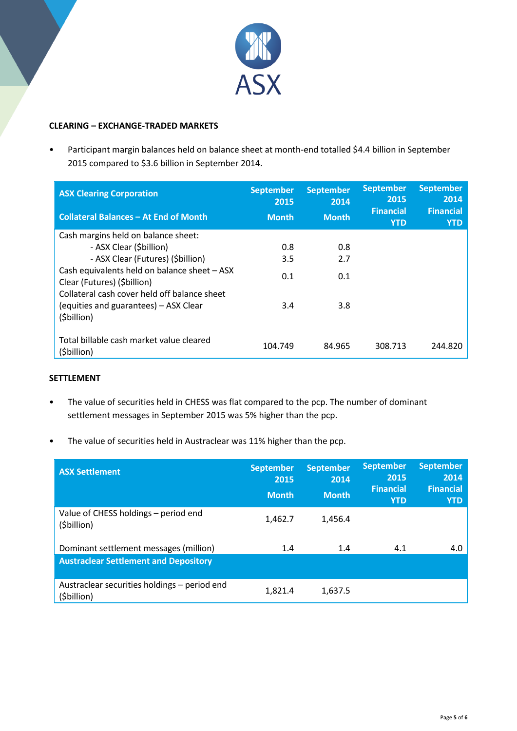

#### **CLEARING – EXCHANGE-TRADED MARKETS**

• Participant margin balances held on balance sheet at month-end totalled \$4.4 billion in September 2015 compared to \$3.6 billion in September 2014.

| <b>ASX Clearing Corporation</b>                                             | <b>September</b><br>2015 | <b>September</b><br>2014 | <b>September</b><br>2015<br><b>Financial</b> | <b>September</b><br>2014<br><b>Financial</b> |
|-----------------------------------------------------------------------------|--------------------------|--------------------------|----------------------------------------------|----------------------------------------------|
| <b>Collateral Balances - At End of Month</b>                                | <b>Month</b>             | <b>Month</b>             | <b>YTD</b>                                   | <b>YTD</b>                                   |
| Cash margins held on balance sheet:                                         |                          |                          |                                              |                                              |
| - ASX Clear (\$billion)                                                     | 0.8                      | 0.8                      |                                              |                                              |
| - ASX Clear (Futures) (\$billion)                                           | 3.5                      | 2.7                      |                                              |                                              |
| Cash equivalents held on balance sheet - ASX<br>Clear (Futures) (\$billion) | 0.1                      | 0.1                      |                                              |                                              |
| Collateral cash cover held off balance sheet                                |                          |                          |                                              |                                              |
| (equities and guarantees) – ASX Clear<br>(\$billion)                        | 3.4                      | 3.8                      |                                              |                                              |
|                                                                             |                          |                          |                                              |                                              |
| Total billable cash market value cleared<br>(\$billion)                     | 104.749                  | 84.965                   | 308.713                                      | 244.820                                      |

#### **SETTLEMENT**

- The value of securities held in CHESS was flat compared to the pcp. The number of dominant settlement messages in September 2015 was 5% higher than the pcp.
- The value of securities held in Austraclear was 11% higher than the pcp.

| <b>ASX Settlement</b>                                       | <b>September</b><br>2015<br><b>Month</b> | <b>September</b><br>2014<br><b>Month</b> | <b>September</b><br>2015<br><b>Financial</b><br><b>YTD</b> | <b>September</b><br>2014<br><b>Financial</b><br><b>YTD</b> |
|-------------------------------------------------------------|------------------------------------------|------------------------------------------|------------------------------------------------------------|------------------------------------------------------------|
| Value of CHESS holdings - period end<br>(\$billion)         | 1,462.7                                  | 1.456.4                                  |                                                            |                                                            |
| Dominant settlement messages (million)                      | 1.4                                      | 1.4                                      | 4.1                                                        | 4.0                                                        |
| <b>Austraclear Settlement and Depository</b>                |                                          |                                          |                                                            |                                                            |
| Austraclear securities holdings - period end<br>(\$billion) | 1,821.4                                  | 1.637.5                                  |                                                            |                                                            |